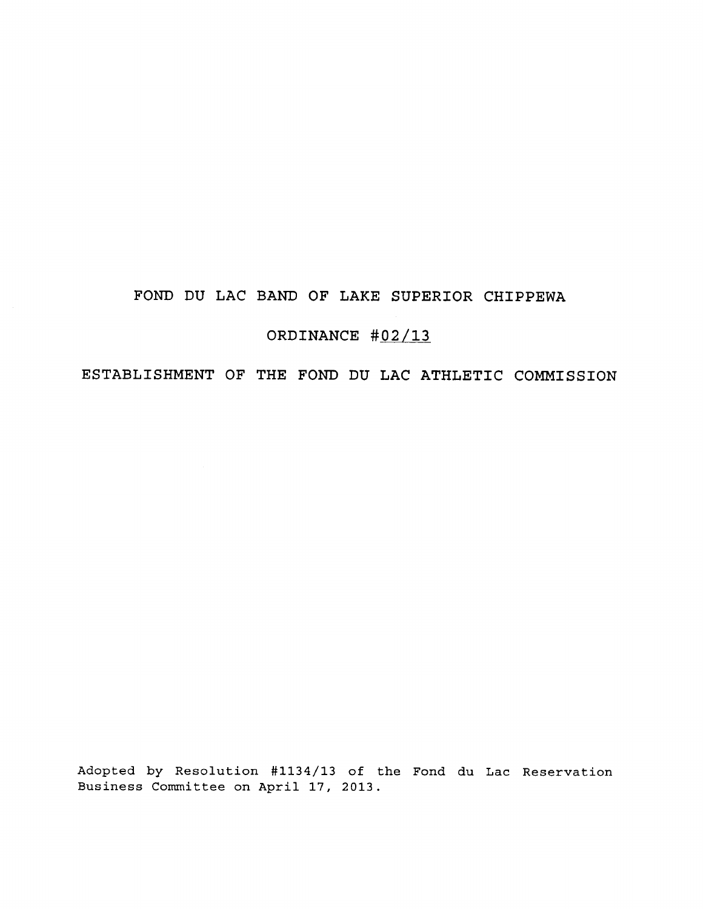# FOND DU LAC BAND OF LAKE SUPERIOR CHIPPEWA

# ORDINANCE #02/13

ESTABLISHMENT OF THE FOND DU LAC ATHLETIC COMMISSION

Adopted by Resolution #1134/13 of the Fond du Lac Reservation Business Committee on April 17, 2013.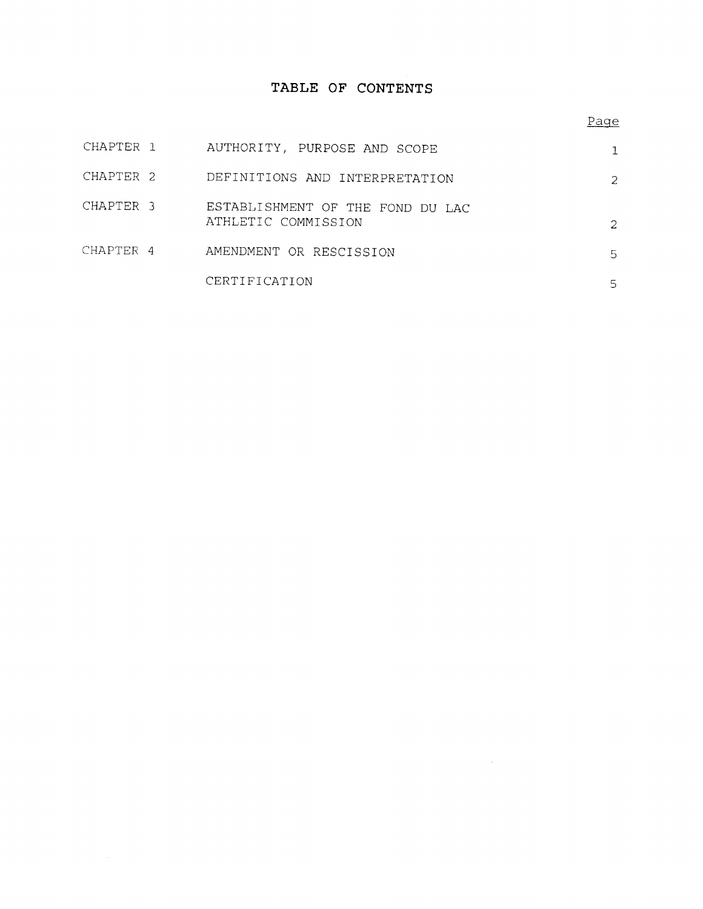# TABLE OF CONTENTS

## Page

 $\label{eq:2} \frac{1}{\sqrt{2}}\left(\frac{1}{\sqrt{2}}\right)^{2} \left(\frac{1}{\sqrt{2}}\right)^{2} \left(\frac{1}{\sqrt{2}}\right)^{2} \left(\frac{1}{\sqrt{2}}\right)^{2} \left(\frac{1}{\sqrt{2}}\right)^{2} \left(\frac{1}{\sqrt{2}}\right)^{2} \left(\frac{1}{\sqrt{2}}\right)^{2} \left(\frac{1}{\sqrt{2}}\right)^{2} \left(\frac{1}{\sqrt{2}}\right)^{2} \left(\frac{1}{\sqrt{2}}\right)^{2} \left(\frac{1}{\sqrt{2}}\right)^{2} \left(\frac{$ 

| CHAPTER 1            | AUTHORITY, PURPOSE AND SCOPE                            |               |
|----------------------|---------------------------------------------------------|---------------|
| CHAPTER <sub>2</sub> | DEFINITIONS AND INTERPRETATION                          | $\mathcal{L}$ |
| CHAPTER 3            | ESTABLISHMENT OF THE FOND DU LAC<br>ATHLETIC COMMISSION | $\mathcal{L}$ |
| CHAPTER 4            | AMENDMENT OR RESCISSION                                 | 5.            |
|                      | CERTIFICATION                                           | 5             |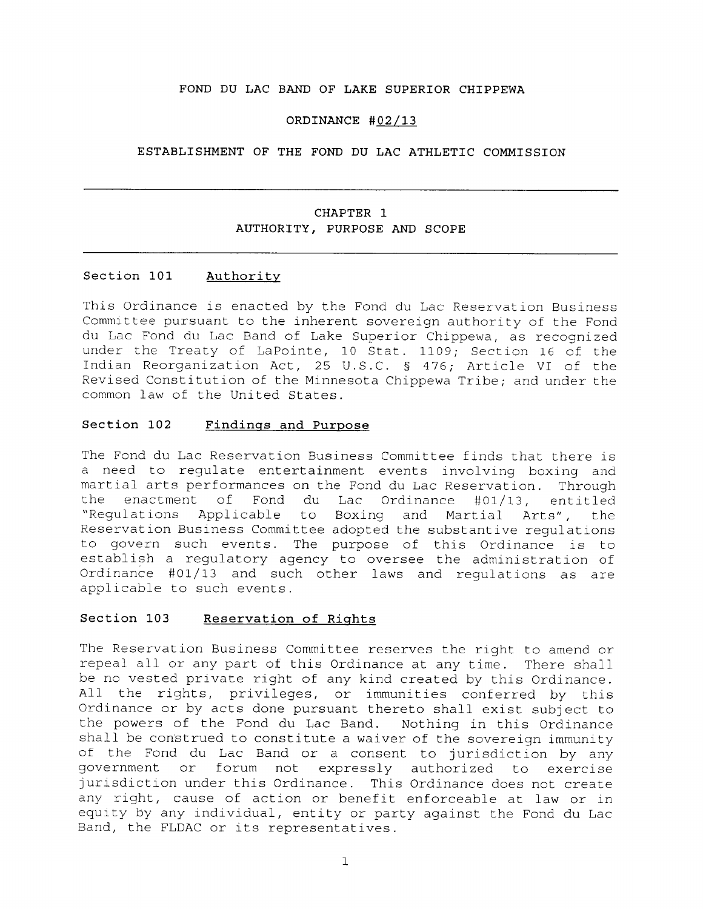### **FOND DU LAC BAND OF LAKE SUPERIOR CHIPPEWA**

### **ORDINANCE #02/13**

#### **ESTABLISHMENT OF THE FOND DU LAC ATHLETIC COMMISSION**

## **CHAPTER 1 AUTHORITY, PURPOSE AND SCOPE**

#### **Section 101 Authority**

This Ordinance is enacted by the Fond du Lac Reservation Business Committee pursuant to the inherent sovereign authority of the Fond du Lac Fond du Lac Band of Lake Superior Chippewa, as recognized under the Treaty of LaPointe, 10 Stat. 1109; Section 16 of the Indian Reorganization Act, 25 U.S.C. § 476; Article VI of the Revised Constitution of the Minnesota Chippewa Tribe; and under the common law of the United States.

### **Section 102 Findings and Purpose**

The Fond du Lac Reservation Business Committee finds that there is a need to regulate entertainment events involving boxing and martial arts performances on the Fond du Lac Reservation. Through enactment of Fond du Lac Ordinance #01/13, entitled "Regulations Applicable to Boxing and Martial Arts", the Reservation Business Committee adopted the substantive regulations to govern such events. The purpose of this Ordinance is to establish a regulatory agency to oversee the administration of Ordinance #01/13 and such other laws and regulations as are applicable to such events.

## **Section 103 Reservation of Rights**

The Reservation Business Committee reserves the right to amend or repeal all or any part of this Ordinance at any time. There shall be no vested private right of any kind created by this Ordinance. All the rights, privileges, or immunities conferred by this Ordinance or by acts done pursuant thereto shall exist subject to the powers of the Fond du Lac Band. Nothing in this Ordinance shall be construed to constitute a waiver of the sovereign immunity of the Fond du Lac Band or a consent to jurisdiction by any government or forum not expressly authorized to exercise jurisdiction under this Ordinance. This Ordinance does not create any right, cause of action or benefit enforceable at law or in equity by any individual, entity or party against the Fond du Lac Band, the FLDAC or its representatives.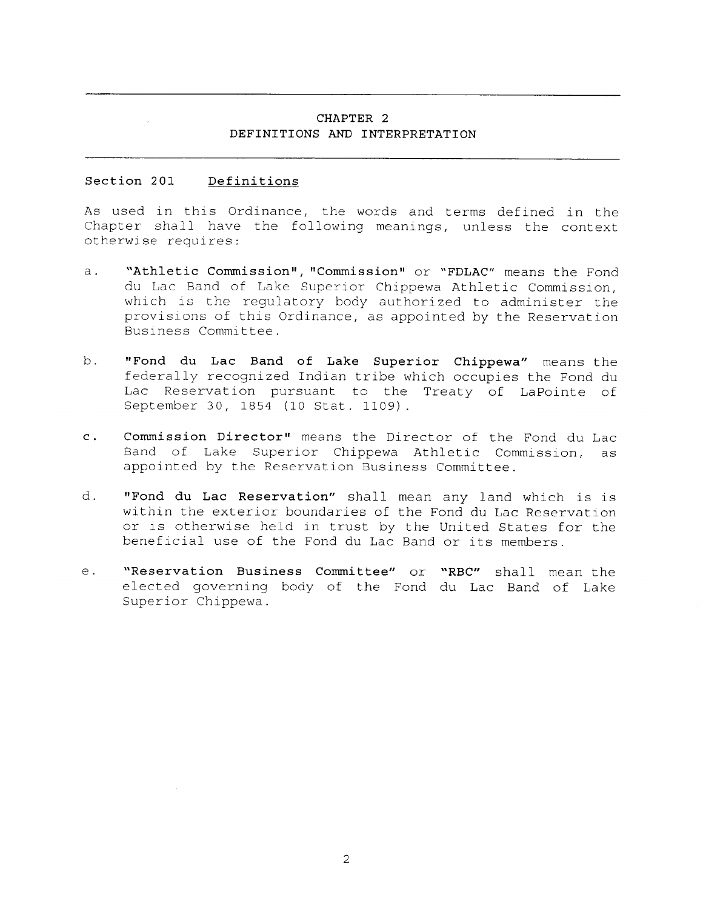## **CHAPTER 2 DEFINITIONS AND INTERPRETATION**

#### **Section 201 Definitions**

As used in this Ordinance, the words and terms defined in the Chapter shall have the following meanings, unless the context otherwise requires:

- **a. "Athletic Commission", "Commission"** or **"FDLAC"** means the Fond du Lac Band of Lake Superior Chippewa Athletic Commission, which is the regulatory body authorized to administer the provisions of this Ordinance, as appointed by the Reservation Business Committee.
- **b. "Fond du Lac Band of Lake Superior Chippewa"** means the federally recognized Indian tribe which occupies the Fond du Lac Reservation pursuant to the Treaty of LaPointe of September 30, 1854 (10 Stat. 1109).
- **c. Commission Director"** means the Director of the Fond du Lac Band of Lake Superior Chippewa Athletic Commission, as appointed by the Reservation Business Committee.
- **d. "Fond du Lac Reservation"** shall mean any land which is is within the exterior boundaries of the Fond du Lac Reservation or is otherwise held in trust by the United States for the beneficial use of the Fond du Lac Band or its members.
- **e. "Reservation Business Committee"** or **"RBC"** shall mean the elected governing body of the Fond du Lac Band of Lake Superior Chippewa.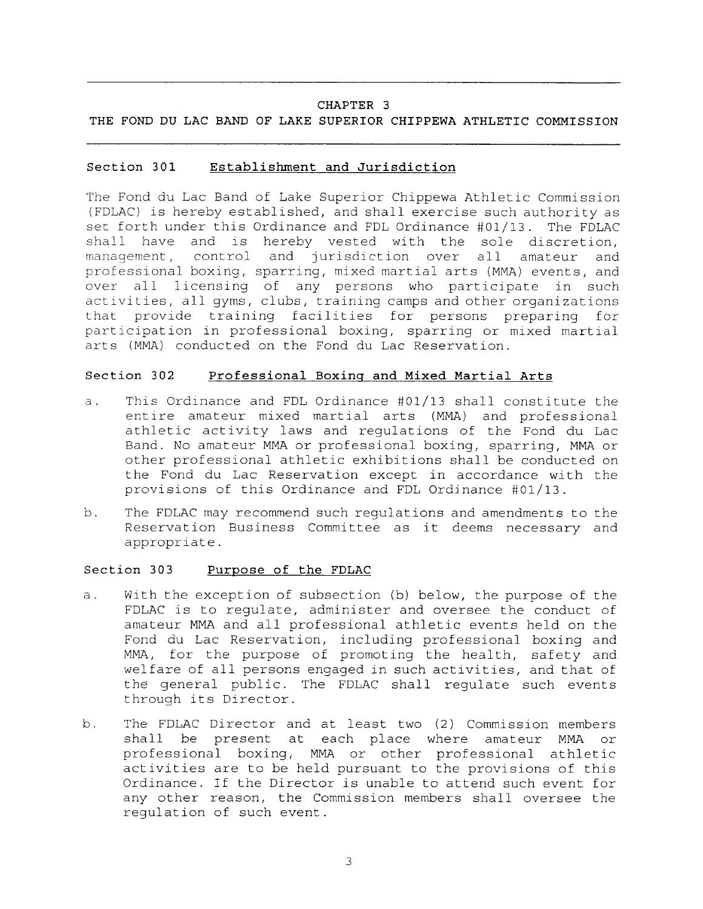### CHAPTER 3

## THE FOND DU LAC BAND OF LAKE SUPERIOR CHIPPEWA ATHLETIC COMMISSION

#### Section 301 Establishment and Jurisdiction

The Fond du Lac Band of Lake Superior Chippewa Athletic Commission (FDLAC) is hereby established, and shall exercise such authority as set forth under this Ordinance and FDL Ordinance #01/13. The FDLAC shall have and is hereby vested with the sole discretion, management, control and jurisdiction over all amateur and professional boxing, sparring, mixed martial arts (MMA) events, and over all licensing of any persons who participate in such activities, all gyms, clubs, training camps and other organizations that provide training facilities for persons preparing for participation in professional boxing, sparring or mixed martial arts (MMA) conducted on the Fond du Lac Reservation.

#### Section 302 Professional Boxing and Mixed Martial Arts

- a. This Ordinance and FDL Ordinance #01/13 shall constitute the entire amateur mixed martial arts (MMA) and professional athletic activity laws and regulations of the Fond du Lac Band. No amateur MMA or professional boxing, sparring, MMA or other professional athletic exhibitions shall be conducted on the Fond du Lac Reservation except in accordance with the provisions of this Ordinance and FDL Ordinance #01/13.
- b. The FDLAC may recommend such regulations and amendments to the Reservation Business Committee as it deems necessary and appropriate.

#### Section 303 Purpose of the FDLAC

- a. With the exception of subsection (b) below, the purpose of the FDLAC is to regulate, administer and oversee the conduct of amateur MMA and all professional athletic events held on the Fond du Lac Reservation, including professional boxing and MMA, for the purpose of promoting the health, safety and welfare of all persons engaged in such activities, and that of the general public. The FDLAC shall regulate such events through its Director.
- b. The FDLAC Director and at least two (2) Commission members shall be present at each place where amateur MMA or professional boxing, MMA or other professional athletic activities are to be held pursuant to the provisions of this Ordinance. If the Director is unable to attend such event for any other reason, the Commission members shall oversee the regulation of such event.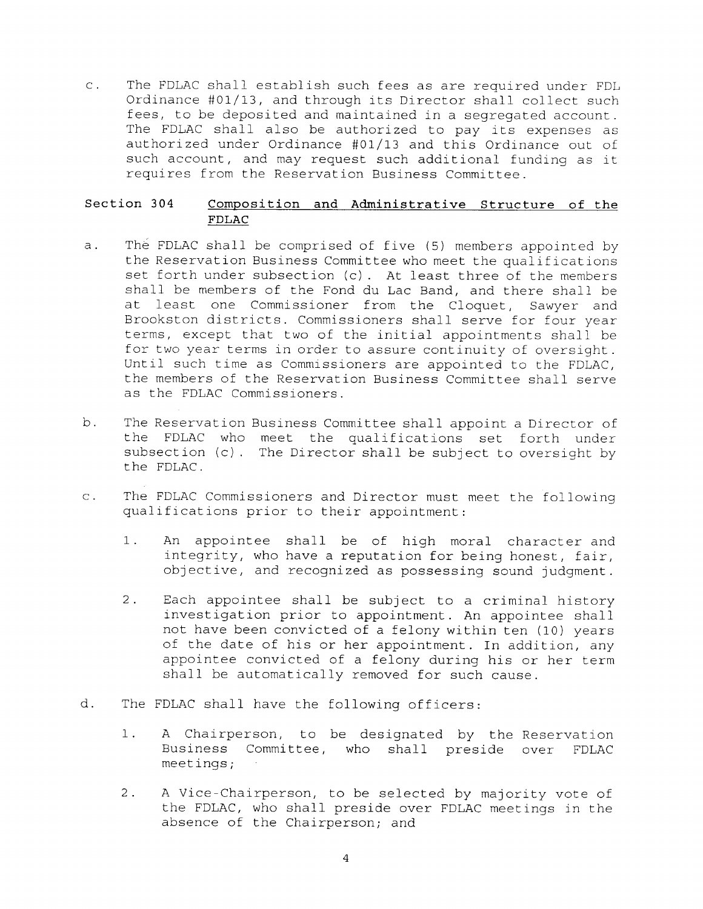c. The FDLAC shall establish such fees as are required under FDL Ordinance #01/13, and through its Director shall collect such fees, to be deposited and maintained in a segregated account. The FDLAC shall also be authorized to pay its expenses as authorized under Ordinance #01/13 and this Ordinance out of such account, and may request such additional funding as it requires from the Reservation Business Committee.

## **Section 304 Composition and Administrative Structure of the FDLAC**

- a. The FDLAC shall be comprised of five (5) members appointed by the Reservation Business Committee who meet the qualifications set forth under subsection (c). At least three of the members shall be members of the Fond du Lac Band, and there shall be at least one Commissioner from the Cloquet, Sawyer and Brookston districts. Commissioners shall serve for four year terms, except that two of the initial appointments shall be for two year terms in order to assure continuity of oversight. Until such time as Commissioners are appointed to the FDLAC, the members of the Reservation Business Committee shall serve as the FDLAC Commissioners.
- b. The Reservation Business Committee shall appoint a Director of the FDLAC who meet the qualifications set forth under subsection (c). The Director shall be subject to oversight by the FDLAC.
- c. The FDLAC Commissioners and Director must meet the following qualifications prior to their appointment:
	- 1. An appointee shall be of high moral character and integrity, who have a reputation for being honest, fair, objective, and recognized as possessing sound judgment.
	- 2. Each appointee shall be subject to a criminal history investigation prior to appointment. An appointee shall not have been convicted of a felony within ten (10) years of the date of his or her appointment. In addition, any appointee convicted of a felony during his or her term shall be automatically removed for such cause.
- d. The FDLAC shall have the following officers:
	- 1. A Chairperson, to be designated by the Reservation Business Committee, who shall preside over FDLAC meetings;
	- 2. A Vice-Chairperson, to be selected by majority vote of the FDLAC, who shall preside over FDLAC meetings in the absence of the Chairperson; and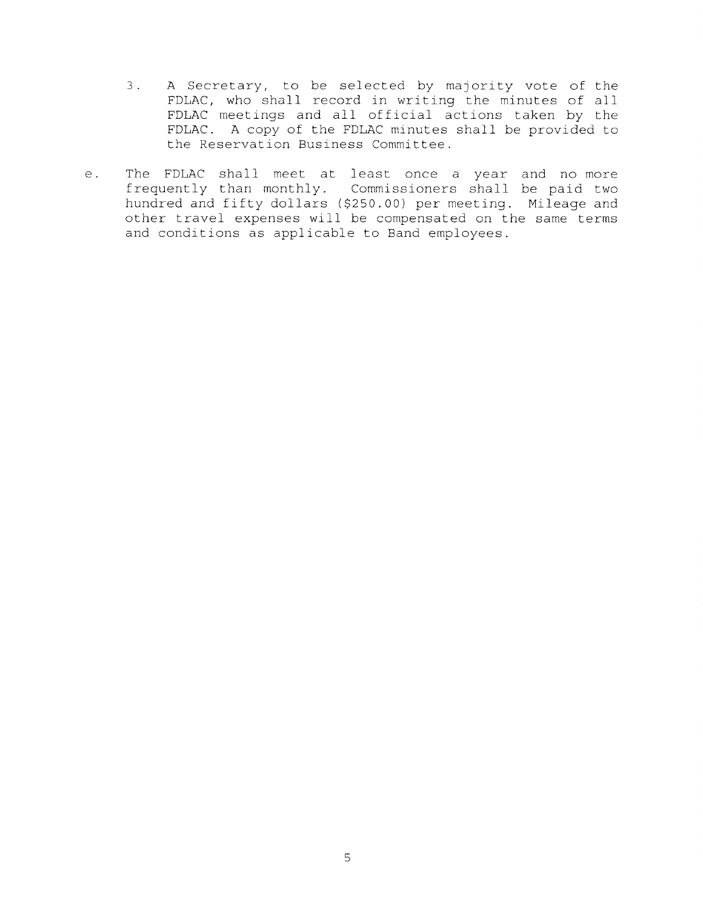- 3. A Secretary, to be selected by majority vote of the FDLAC, who shall record in writing the minutes of all FDLAC meetings and all official actions taken by the FDLAC. A copy of the FDLAC minutes shall be provided to the Reservation Business Committee.
- e. The FDLAC shall meet at least once a year and no more frequently than monthly. Commissioners shall be paid two hundred and fifty dollars (\$250.00) per meeting. Mileage and other travel expenses will be compensated on the same terms and conditions as applicable to Band employees.